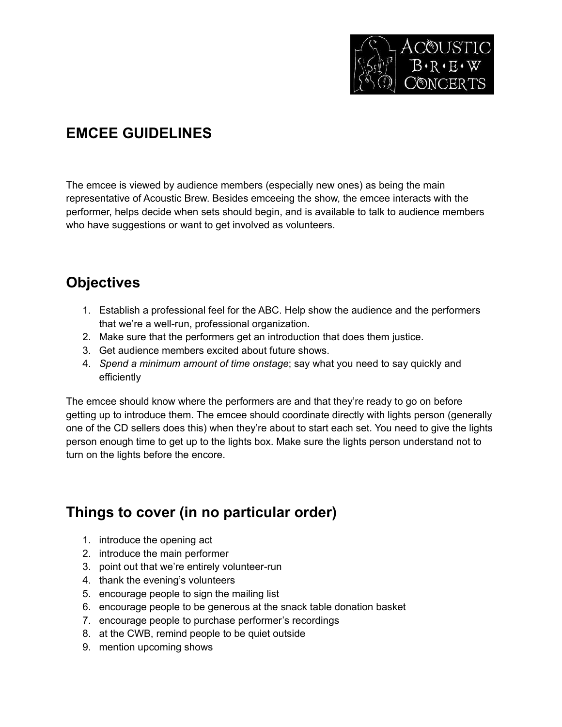

# **EMCEE GUIDELINES**

The emcee is viewed by audience members (especially new ones) as being the main representative of Acoustic Brew. Besides emceeing the show, the emcee interacts with the performer, helps decide when sets should begin, and is available to talk to audience members who have suggestions or want to get involved as volunteers.

## **Objectives**

- 1. Establish a professional feel for the ABC. Help show the audience and the performers that we're a well-run, professional organization.
- 2. Make sure that the performers get an introduction that does them justice.
- 3. Get audience members excited about future shows.
- 4. *Spend a minimum amount of time onstage*; say what you need to say quickly and efficiently

The emcee should know where the performers are and that they're ready to go on before getting up to introduce them. The emcee should coordinate directly with lights person (generally one of the CD sellers does this) when they're about to start each set. You need to give the lights person enough time to get up to the lights box. Make sure the lights person understand not to turn on the lights before the encore.

## **Things to cover (in no particular order)**

- 1. introduce the opening act
- 2. introduce the main performer
- 3. point out that we're entirely volunteer-run
- 4. thank the evening's volunteers
- 5. encourage people to sign the mailing list
- 6. encourage people to be generous at the snack table donation basket
- 7. encourage people to purchase performer's recordings
- 8. at the CWB, remind people to be quiet outside
- 9. mention upcoming shows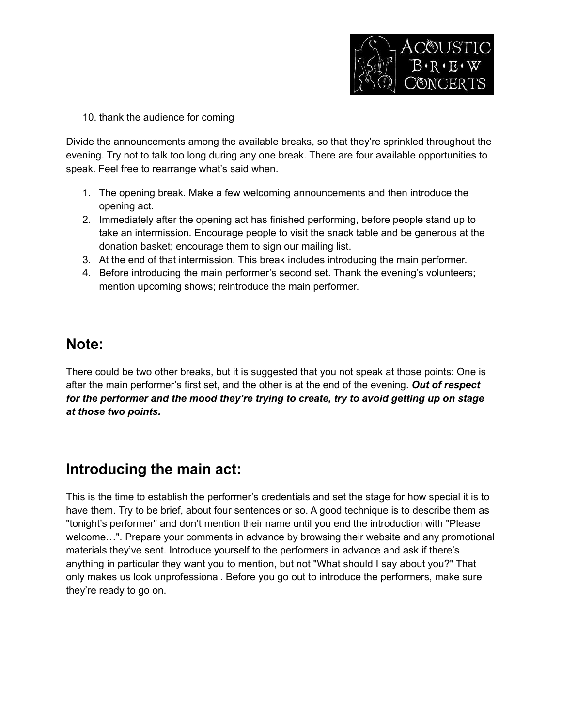

10. thank the audience for coming

Divide the announcements among the available breaks, so that they're sprinkled throughout the evening. Try not to talk too long during any one break. There are four available opportunities to speak. Feel free to rearrange what's said when.

- 1. The opening break. Make a few welcoming announcements and then introduce the opening act.
- 2. Immediately after the opening act has finished performing, before people stand up to take an intermission. Encourage people to visit the snack table and be generous at the donation basket; encourage them to sign our mailing list.
- 3. At the end of that intermission. This break includes introducing the main performer.
- 4. Before introducing the main performer's second set. Thank the evening's volunteers; mention upcoming shows; reintroduce the main performer.

#### **Note:**

There could be two other breaks, but it is suggested that you not speak at those points: One is after the main performer's first set, and the other is at the end of the evening. *Out of respect for the performer and the mood they're trying to create, try to avoid getting up on stage at those two points.*

## **Introducing the main act:**

This is the time to establish the performer's credentials and set the stage for how special it is to have them. Try to be brief, about four sentences or so. A good technique is to describe them as "tonight's performer" and don't mention their name until you end the introduction with "Please welcome…". Prepare your comments in advance by browsing their website and any promotional materials they've sent. Introduce yourself to the performers in advance and ask if there's anything in particular they want you to mention, but not "What should I say about you?" That only makes us look unprofessional. Before you go out to introduce the performers, make sure they're ready to go on.